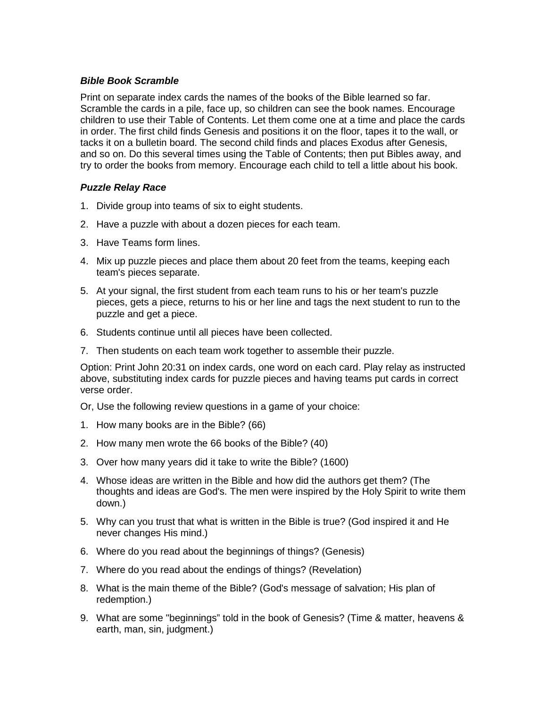## *Bible Book Scramble*

Print on separate index cards the names of the books of the Bible learned so far. Scramble the cards in a pile, face up, so children can see the book names. Encourage children to use their Table of Contents. Let them come one at a time and place the cards in order. The first child finds Genesis and positions it on the floor, tapes it to the wall, or tacks it on a bulletin board. The second child finds and places Exodus after Genesis, and so on. Do this several times using the Table of Contents; then put Bibles away, and try to order the books from memory. Encourage each child to tell a little about his book.

## *Puzzle Relay Race*

- 1. Divide group into teams of six to eight students.
- 2. Have a puzzle with about a dozen pieces for each team.
- 3. Have Teams form lines.
- 4. Mix up puzzle pieces and place them about 20 feet from the teams, keeping each team's pieces separate.
- 5. At your signal, the first student from each team runs to his or her team's puzzle pieces, gets a piece, returns to his or her line and tags the next student to run to the puzzle and get a piece.
- 6. Students continue until all pieces have been collected.
- 7. Then students on each team work together to assemble their puzzle.

Option: Print John 20:31 on index cards, one word on each card. Play relay as instructed above, substituting index cards for puzzle pieces and having teams put cards in correct verse order.

Or, Use the following review questions in a game of your choice:

- 1. How many books are in the Bible? (66)
- 2. How many men wrote the 66 books of the Bible? (40)
- 3. Over how many years did it take to write the Bible? (1600)
- 4. Whose ideas are written in the Bible and how did the authors get them? (The thoughts and ideas are God's. The men were inspired by the Holy Spirit to write them down.)
- 5. Why can you trust that what is written in the Bible is true? (God inspired it and He never changes His mind.)
- 6. Where do you read about the beginnings of things? (Genesis)
- 7. Where do you read about the endings of things? (Revelation)
- 8. What is the main theme of the Bible? (God's message of salvation; His plan of redemption.)
- 9. What are some "beginnings" told in the book of Genesis? (Time & matter, heavens & earth, man, sin, judgment.)